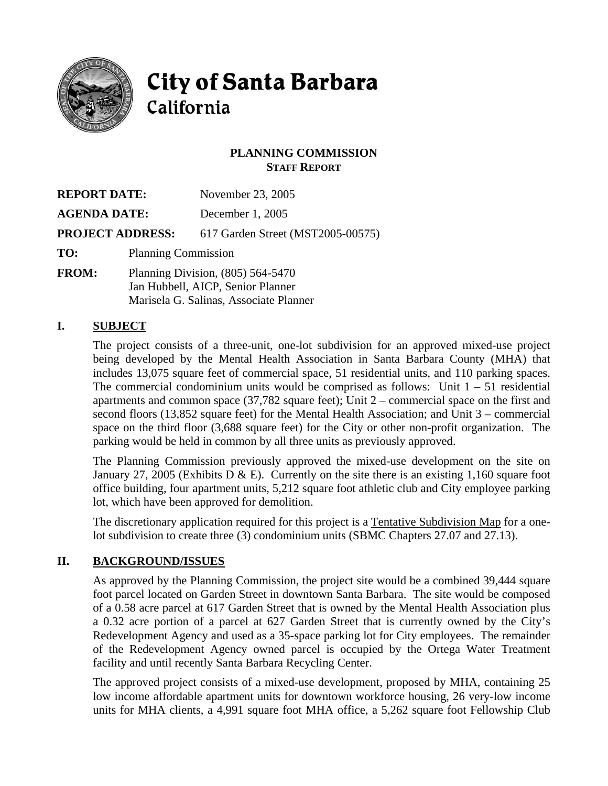

# **City of Santa Barbara** California

# **PLANNING COMMISSION STAFF REPORT**

| <b>REPORT DATE:</b>     |                                                                        | November 23, 2005                 |
|-------------------------|------------------------------------------------------------------------|-----------------------------------|
| <b>AGENDA DATE:</b>     |                                                                        | December 1, 2005                  |
| <b>PROJECT ADDRESS:</b> |                                                                        | 617 Garden Street (MST2005-00575) |
| TO:                     | <b>Planning Commission</b>                                             |                                   |
| <b>FROM:</b>            | Planning Division, (805) 564-5470<br>Jan Hubbell, AICP, Senior Planner |                                   |

# Marisela G. Salinas, Associate Planner

# **I. SUBJECT**

The project consists of a three-unit, one-lot subdivision for an approved mixed-use project being developed by the Mental Health Association in Santa Barbara County (MHA) that includes 13,075 square feet of commercial space, 51 residential units, and 110 parking spaces. The commercial condominium units would be comprised as follows: Unit  $1 - 51$  residential apartments and common space (37,782 square feet); Unit 2 – commercial space on the first and second floors (13,852 square feet) for the Mental Health Association; and Unit 3 – commercial space on the third floor (3,688 square feet) for the City or other non-profit organization. The parking would be held in common by all three units as previously approved.

The Planning Commission previously approved the mixed-use development on the site on January 27, 2005 (Exhibits D & E). Currently on the site there is an existing 1,160 square foot office building, four apartment units, 5,212 square foot athletic club and City employee parking lot, which have been approved for demolition.

The discretionary application required for this project is a Tentative Subdivision Map for a onelot subdivision to create three (3) condominium units (SBMC Chapters 27.07 and 27.13).

# **II. BACKGROUND/ISSUES**

As approved by the Planning Commission, the project site would be a combined 39,444 square foot parcel located on Garden Street in downtown Santa Barbara. The site would be composed of a 0.58 acre parcel at 617 Garden Street that is owned by the Mental Health Association plus a 0.32 acre portion of a parcel at 627 Garden Street that is currently owned by the City's Redevelopment Agency and used as a 35-space parking lot for City employees. The remainder of the Redevelopment Agency owned parcel is occupied by the Ortega Water Treatment facility and until recently Santa Barbara Recycling Center.

The approved project consists of a mixed-use development, proposed by MHA, containing 25 low income affordable apartment units for downtown workforce housing, 26 very-low income units for MHA clients, a 4,991 square foot MHA office, a 5,262 square foot Fellowship Club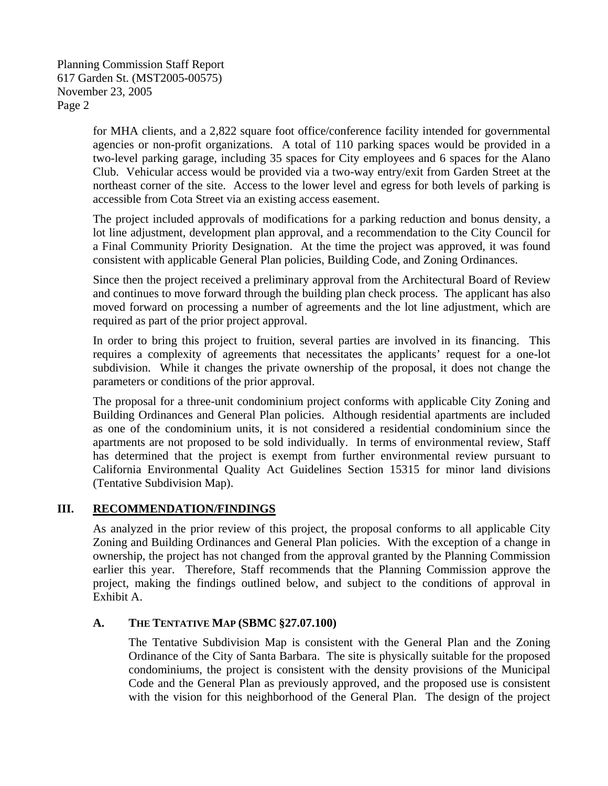Planning Commission Staff Report 617 Garden St. (MST2005-00575) November 23, 2005 Page 2

> for MHA clients, and a 2,822 square foot office/conference facility intended for governmental agencies or non-profit organizations. A total of 110 parking spaces would be provided in a two-level parking garage, including 35 spaces for City employees and 6 spaces for the Alano Club. Vehicular access would be provided via a two-way entry/exit from Garden Street at the northeast corner of the site. Access to the lower level and egress for both levels of parking is accessible from Cota Street via an existing access easement.

> The project included approvals of modifications for a parking reduction and bonus density, a lot line adjustment, development plan approval, and a recommendation to the City Council for a Final Community Priority Designation. At the time the project was approved, it was found consistent with applicable General Plan policies, Building Code, and Zoning Ordinances.

> Since then the project received a preliminary approval from the Architectural Board of Review and continues to move forward through the building plan check process. The applicant has also moved forward on processing a number of agreements and the lot line adjustment, which are required as part of the prior project approval.

> In order to bring this project to fruition, several parties are involved in its financing. This requires a complexity of agreements that necessitates the applicants' request for a one-lot subdivision. While it changes the private ownership of the proposal, it does not change the parameters or conditions of the prior approval.

> The proposal for a three-unit condominium project conforms with applicable City Zoning and Building Ordinances and General Plan policies. Although residential apartments are included as one of the condominium units, it is not considered a residential condominium since the apartments are not proposed to be sold individually. In terms of environmental review, Staff has determined that the project is exempt from further environmental review pursuant to California Environmental Quality Act Guidelines Section 15315 for minor land divisions (Tentative Subdivision Map).

# **III. RECOMMENDATION/FINDINGS**

As analyzed in the prior review of this project, the proposal conforms to all applicable City Zoning and Building Ordinances and General Plan policies. With the exception of a change in ownership, the project has not changed from the approval granted by the Planning Commission earlier this year. Therefore, Staff recommends that the Planning Commission approve the project, making the findings outlined below, and subject to the conditions of approval in Exhibit A.

#### **A. THE TENTATIVE MAP (SBMC §27.07.100)**

The Tentative Subdivision Map is consistent with the General Plan and the Zoning Ordinance of the City of Santa Barbara. The site is physically suitable for the proposed condominiums, the project is consistent with the density provisions of the Municipal Code and the General Plan as previously approved, and the proposed use is consistent with the vision for this neighborhood of the General Plan. The design of the project